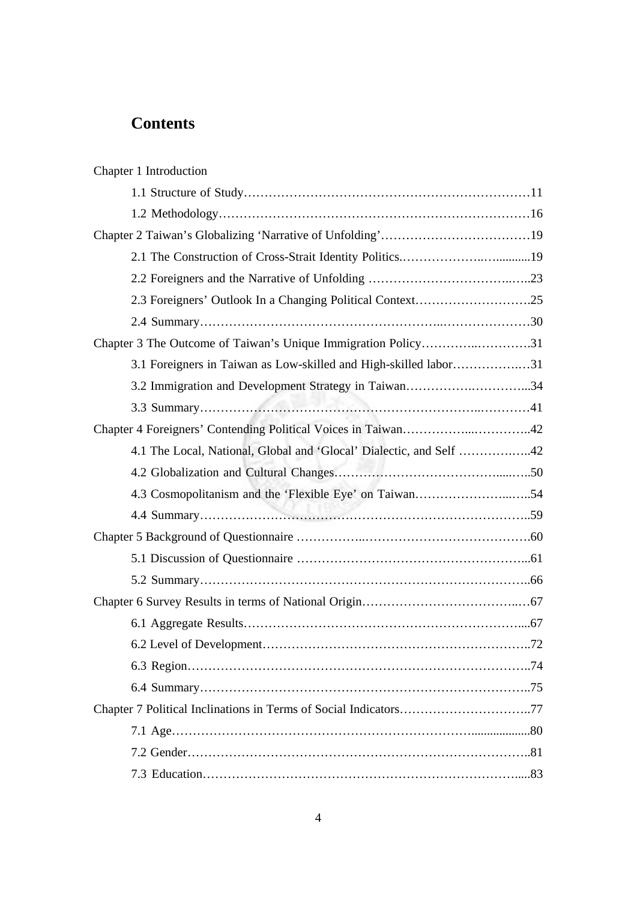## **Contents**

| Chapter 1 Introduction                                              |  |
|---------------------------------------------------------------------|--|
|                                                                     |  |
|                                                                     |  |
|                                                                     |  |
|                                                                     |  |
|                                                                     |  |
|                                                                     |  |
|                                                                     |  |
| Chapter 3 The Outcome of Taiwan's Unique Immigration Policy31       |  |
| 3.1 Foreigners in Taiwan as Low-skilled and High-skilled labor31    |  |
| 3.2 Immigration and Development Strategy in Taiwan34                |  |
|                                                                     |  |
|                                                                     |  |
| 4.1 The Local, National, Global and 'Glocal' Dialectic, and Self 42 |  |
|                                                                     |  |
| 4.3 Cosmopolitanism and the 'Flexible Eye' on Taiwan54              |  |
|                                                                     |  |
|                                                                     |  |
|                                                                     |  |
|                                                                     |  |
|                                                                     |  |
|                                                                     |  |
|                                                                     |  |
|                                                                     |  |
|                                                                     |  |
| Chapter 7 Political Inclinations in Terms of Social Indicators77    |  |
|                                                                     |  |
|                                                                     |  |
|                                                                     |  |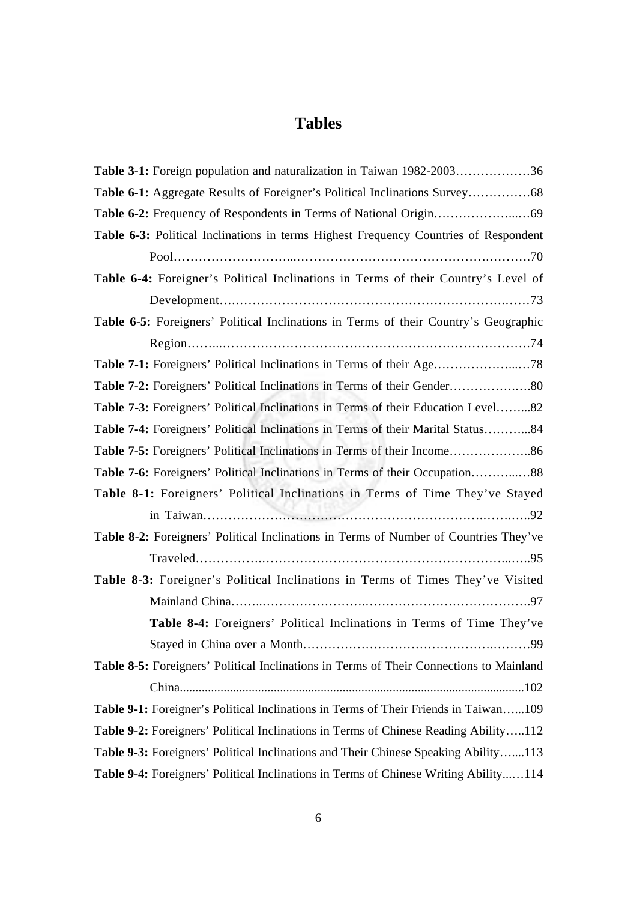## **Tables**

| Table 3-1: Foreign population and naturalization in Taiwan 1982-200336                  |
|-----------------------------------------------------------------------------------------|
|                                                                                         |
|                                                                                         |
| Table 6-3: Political Inclinations in terms Highest Frequency Countries of Respondent    |
|                                                                                         |
| Table 6-4: Foreigner's Political Inclinations in Terms of their Country's Level of      |
|                                                                                         |
| Table 6-5: Foreigners' Political Inclinations in Terms of their Country's Geographic    |
|                                                                                         |
|                                                                                         |
|                                                                                         |
| Table 7-3: Foreigners' Political Inclinations in Terms of their Education Level82       |
| Table 7-4: Foreigners' Political Inclinations in Terms of their Marital Status84        |
|                                                                                         |
| Table 7-6: Foreigners' Political Inclinations in Terms of their Occupation88            |
| Table 8-1: Foreigners' Political Inclinations in Terms of Time They've Stayed           |
|                                                                                         |
| Table 8-2: Foreigners' Political Inclinations in Terms of Number of Countries They've   |
|                                                                                         |
| Table 8-3: Foreigner's Political Inclinations in Terms of Times They've Visited         |
|                                                                                         |
| Table 8-4: Foreigners' Political Inclinations in Terms of Time They've                  |
|                                                                                         |
| Table 8-5: Foreigners' Political Inclinations in Terms of Their Connections to Mainland |
|                                                                                         |
| Table 9-1: Foreigner's Political Inclinations in Terms of Their Friends in Taiwan109    |
| Table 9-2: Foreigners' Political Inclinations in Terms of Chinese Reading Ability112    |
| Table 9-3: Foreigners' Political Inclinations and Their Chinese Speaking Ability113     |
| Table 9-4: Foreigners' Political Inclinations in Terms of Chinese Writing Ability114    |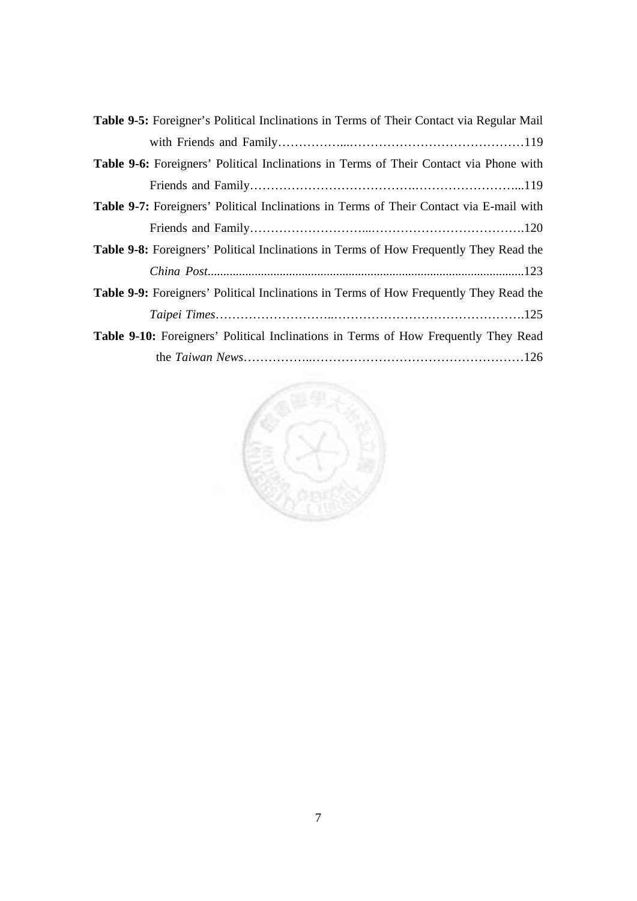| <b>Table 9-5:</b> Foreigner's Political Inclinations in Terms of Their Contact via Regular Mail |
|-------------------------------------------------------------------------------------------------|
|                                                                                                 |
| <b>Table 9-6:</b> Foreigners' Political Inclinations in Terms of Their Contact via Phone with   |
|                                                                                                 |
| <b>Table 9-7:</b> Foreigners' Political Inclinations in Terms of Their Contact via E-mail with  |
|                                                                                                 |
| <b>Table 9-8:</b> Foreigners' Political Inclinations in Terms of How Frequently They Read the   |
|                                                                                                 |
| <b>Table 9-9:</b> Foreigners' Political Inclinations in Terms of How Frequently They Read the   |
|                                                                                                 |
| <b>Table 9-10:</b> Foreigners' Political Inclinations in Terms of How Frequently They Read      |
|                                                                                                 |